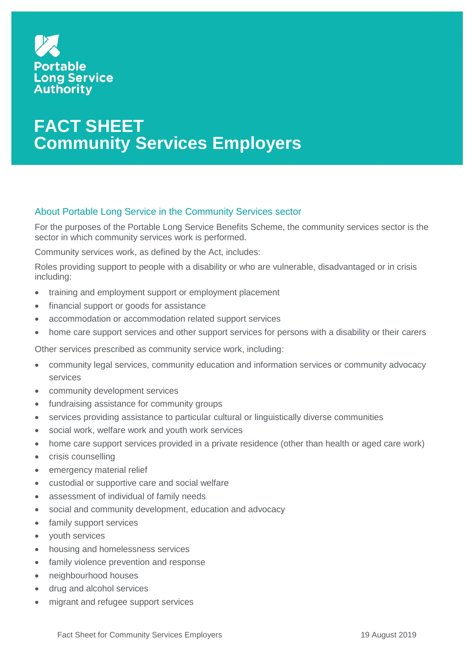

# **FACT SHEET Community Services Employers**

# About Portable Long Service in the Community Services sector

For the purposes of the Portable Long Service Benefits Scheme, the community services sector is the sector in which community services work is performed.

Community services work, as defined by the Act, includes:

Roles providing support to people with a disability or who are vulnerable, disadvantaged or in crisis including:

- training and employment support or employment placement
- financial support or goods for assistance
- accommodation or accommodation related support services
- home care support services and other support services for persons with a disability or their carers

Other services prescribed as community service work, including:

- community legal services, community education and information services or community advocacy services
- community development services
- fundraising assistance for community groups
- services providing assistance to particular cultural or linguistically diverse communities
- social work, welfare work and youth work services
- home care support services provided in a private residence (other than health or aged care work)
- crisis counselling
- emergency material relief
- custodial or supportive care and social welfare
- assessment of individual of family needs
- social and community development, education and advocacy
- family support services
- youth services
- housing and homelessness services
- family violence prevention and response
- neighbourhood houses
- drug and alcohol services
- migrant and refugee support services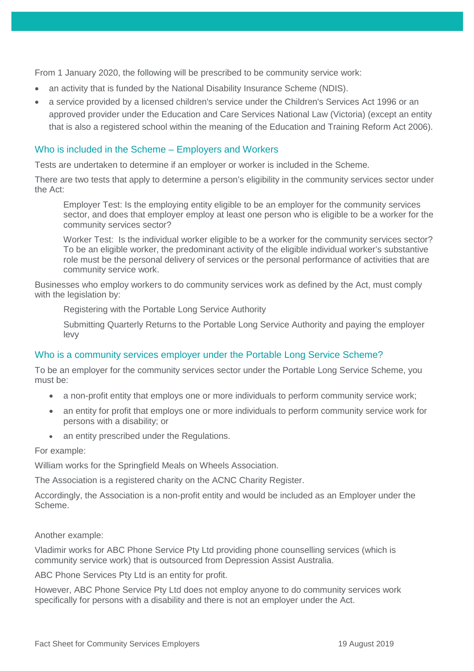From 1 January 2020, the following will be prescribed to be community service work:

- an activity that is funded by the National Disability Insurance Scheme (NDIS).
- a service provided by a licensed children's service under the Children's Services Act 1996 or an approved provider under the Education and Care Services National Law (Victoria) (except an entity that is also a registered school within the meaning of the Education and Training Reform Act 2006).

## Who is included in the Scheme – Employers and Workers

Tests are undertaken to determine if an employer or worker is included in the Scheme.

There are two tests that apply to determine a person's eligibility in the community services sector under the Act:

Employer Test: Is the employing entity eligible to be an employer for the community services sector, and does that employer employ at least one person who is eligible to be a worker for the community services sector?

Worker Test: Is the individual worker eligible to be a worker for the community services sector? To be an eligible worker, the predominant activity of the eligible individual worker's substantive role must be the personal delivery of services or the personal performance of activities that are community service work.

Businesses who employ workers to do community services work as defined by the Act, must comply with the legislation by:

Registering with the Portable Long Service Authority

Submitting Quarterly Returns to the Portable Long Service Authority and paying the employer levy

### Who is a community services employer under the Portable Long Service Scheme?

To be an employer for the community services sector under the Portable Long Service Scheme, you must be:

- a non-profit entity that employs one or more individuals to perform community service work;
- an entity for profit that employs one or more individuals to perform community service work for persons with a disability; or
- an entity prescribed under the Regulations.

For example:

William works for the Springfield Meals on Wheels Association.

The Association is a registered charity on the ACNC Charity Register.

Accordingly, the Association is a non-profit entity and would be included as an Employer under the Scheme.

Another example:

Vladimir works for ABC Phone Service Pty Ltd providing phone counselling services (which is community service work) that is outsourced from Depression Assist Australia.

ABC Phone Services Pty Ltd is an entity for profit.

However, ABC Phone Service Pty Ltd does not employ anyone to do community services work specifically for persons with a disability and there is not an employer under the Act.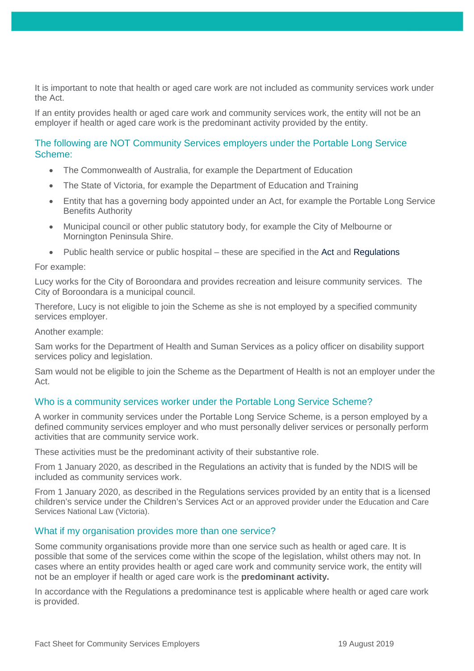It is important to note that health or aged care work are not included as community services work under the Act.

If an entity provides health or aged care work and community services work, the entity will not be an employer if health or aged care work is the predominant activity provided by the entity.

## The following are NOT Community Services employers under the Portable Long Service Scheme:

- The Commonwealth of Australia, for example the Department of Education
- The State of Victoria, for example the Department of Education and Training
- Entity that has a governing body appointed under an Act, for example the Portable Long Service Benefits Authority
- Municipal council or other public statutory body, for example the City of Melbourne or Mornington Peninsula Shire.
- Public health service or public hospital these are specified in the [Act](http://www.legislation.vic.gov.au/Domino/Web_Notes/LDMS/PubStatbook.nsf/f932b66241ecf1b7ca256e92000e23be/FCF1491EFDCEB87ECA25830C0011A59E/$FILE/18-044aa%20authorised.pdf) and [Regulations](http://www.legislation.vic.gov.au/Domino/Web_Notes/LDMS/PubStatbook.nsf/93eb987ebadd283dca256e92000e4069/2C52A703EA212FB5CA25842400180A17/$FILE/19-052sra%20authorised.pdf)

#### For example:

Lucy works for the City of Boroondara and provides recreation and leisure community services. The City of Boroondara is a municipal council.

Therefore, Lucy is not eligible to join the Scheme as she is not employed by a specified community services employer.

Another example:

Sam works for the Department of Health and Suman Services as a policy officer on disability support services policy and legislation.

Sam would not be eligible to join the Scheme as the Department of Health is not an employer under the Act.

### Who is a community services worker under the Portable Long Service Scheme?

A worker in community services under the Portable Long Service Scheme, is a person employed by a defined community services employer and who must personally deliver services or personally perform activities that are community service work.

These activities must be the predominant activity of their substantive role.

From 1 January 2020, as described in the Regulations an activity that is funded by the NDIS will be included as community services work.

From 1 January 2020, as described in the Regulations services provided by an entity that is a licensed children's service under the Children's Services Act or an approved provider under the Education and Care Services National Law (Victoria).

### What if my organisation provides more than one service?

Some community organisations provide more than one service such as health or aged care. It is possible that some of the services come within the scope of the legislation, whilst others may not. In cases where an entity provides health or aged care work and community service work, the entity will not be an employer if health or aged care work is the **predominant activity.**

In accordance with the Regulations a predominance test is applicable where health or aged care work is provided.